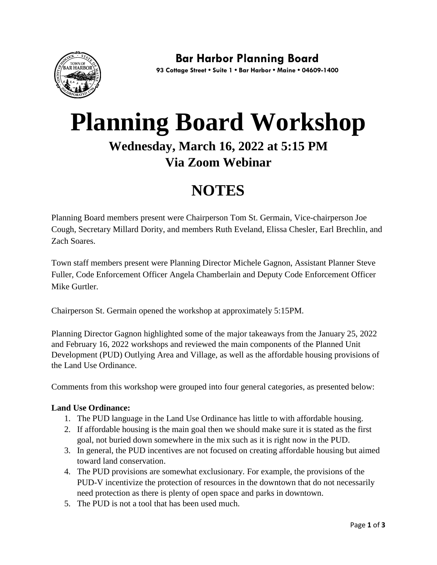

# **Planning Board Workshop Wednesday, March 16, 2022 at 5:15 PM Via Zoom Webinar**

## **NOTES**

Planning Board members present were Chairperson Tom St. Germain, Vice-chairperson Joe Cough, Secretary Millard Dority, and members Ruth Eveland, Elissa Chesler, Earl Brechlin, and Zach Soares.

Town staff members present were Planning Director Michele Gagnon, Assistant Planner Steve Fuller, Code Enforcement Officer Angela Chamberlain and Deputy Code Enforcement Officer Mike Gurtler.

Chairperson St. Germain opened the workshop at approximately 5:15PM.

Planning Director Gagnon highlighted some of the major takeaways from the January 25, 2022 and February 16, 2022 workshops and reviewed the main components of the Planned Unit Development (PUD) Outlying Area and Village, as well as the affordable housing provisions of the Land Use Ordinance.

Comments from this workshop were grouped into four general categories, as presented below:

### **Land Use Ordinance:**

- 1. The PUD language in the Land Use Ordinance has little to with affordable housing.
- 2. If affordable housing is the main goal then we should make sure it is stated as the first goal, not buried down somewhere in the mix such as it is right now in the PUD.
- 3. In general, the PUD incentives are not focused on creating affordable housing but aimed toward land conservation.
- 4. The PUD provisions are somewhat exclusionary. For example, the provisions of the PUD-V incentivize the protection of resources in the downtown that do not necessarily need protection as there is plenty of open space and parks in downtown.
- 5. The PUD is not a tool that has been used much.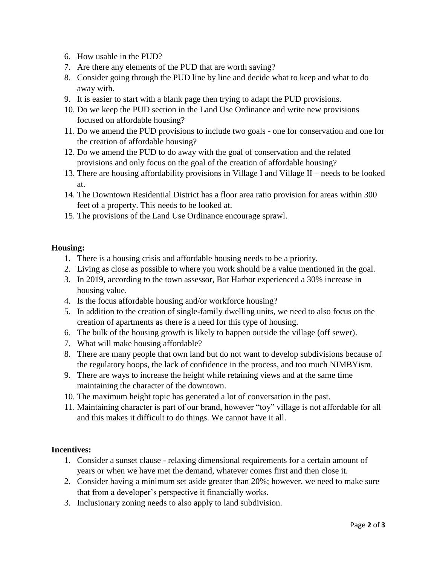- 6. How usable in the PUD?
- 7. Are there any elements of the PUD that are worth saving?
- 8. Consider going through the PUD line by line and decide what to keep and what to do away with.
- 9. It is easier to start with a blank page then trying to adapt the PUD provisions.
- 10. Do we keep the PUD section in the Land Use Ordinance and write new provisions focused on affordable housing?
- 11. Do we amend the PUD provisions to include two goals one for conservation and one for the creation of affordable housing?
- 12. Do we amend the PUD to do away with the goal of conservation and the related provisions and only focus on the goal of the creation of affordable housing?
- 13. There are housing affordability provisions in Village I and Village II needs to be looked at.
- 14. The Downtown Residential District has a floor area ratio provision for areas within 300 feet of a property. This needs to be looked at.
- 15. The provisions of the Land Use Ordinance encourage sprawl.

#### **Housing:**

- 1. There is a housing crisis and affordable housing needs to be a priority.
- 2. Living as close as possible to where you work should be a value mentioned in the goal.
- 3. In 2019, according to the town assessor, Bar Harbor experienced a 30% increase in housing value.
- 4. Is the focus affordable housing and/or workforce housing?
- 5. In addition to the creation of single-family dwelling units, we need to also focus on the creation of apartments as there is a need for this type of housing.
- 6. The bulk of the housing growth is likely to happen outside the village (off sewer).
- 7. What will make housing affordable?
- 8. There are many people that own land but do not want to develop subdivisions because of the regulatory hoops, the lack of confidence in the process, and too much NIMBYism.
- 9. There are ways to increase the height while retaining views and at the same time maintaining the character of the downtown.
- 10. The maximum height topic has generated a lot of conversation in the past.
- 11. Maintaining character is part of our brand, however "toy" village is not affordable for all and this makes it difficult to do things. We cannot have it all.

#### **Incentives:**

- 1. Consider a sunset clause relaxing dimensional requirements for a certain amount of years or when we have met the demand, whatever comes first and then close it.
- 2. Consider having a minimum set aside greater than 20%; however, we need to make sure that from a developer's perspective it financially works.
- 3. Inclusionary zoning needs to also apply to land subdivision.